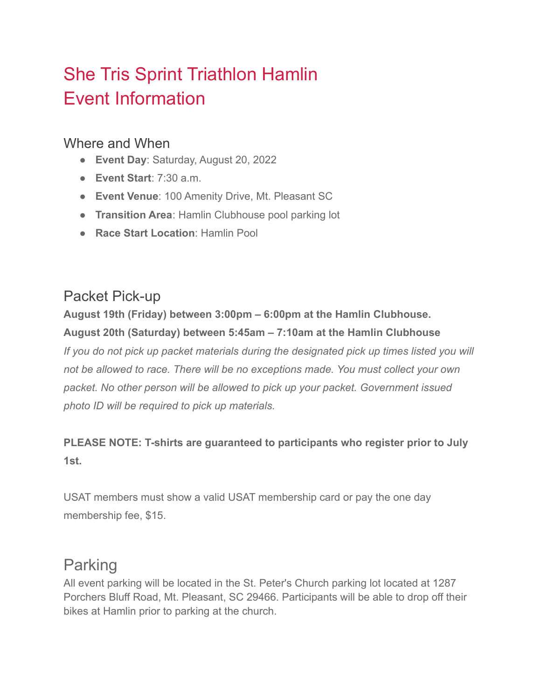## She Tris Sprint Triathlon Hamlin Event Information

#### Where and When

- **Event Day**: Saturday, August 20, 2022
- **Event Start**: 7:30 a.m.
- **Event Venue**: 100 Amenity Drive, Mt. Pleasant SC
- **Transition Area**: Hamlin Clubhouse pool parking lot
- **Race Start Location**: Hamlin Pool

## Packet Pick-up

**August 19th (Friday) between 3:00pm – 6:00pm at the Hamlin Clubhouse. August 20th (Saturday) between 5:45am – 7:10am at the Hamlin Clubhouse** *If you do not pick up packet materials during the designated pick up times listed you will not be allowed to race. There will be no exceptions made. You must collect your own packet. No other person will be allowed to pick up your packet. Government issued photo ID will be required to pick up materials.*

#### **PLEASE NOTE: T-shirts are guaranteed to participants who register prior to July 1st.**

USAT members must show a valid USAT membership card or pay the one day membership fee, \$15.

#### Parking

All event parking will be located in the St. Peter's Church parking lot located at 1287 Porchers Bluff Road, Mt. Pleasant, SC 29466. Participants will be able to drop off their bikes at Hamlin prior to parking at the church.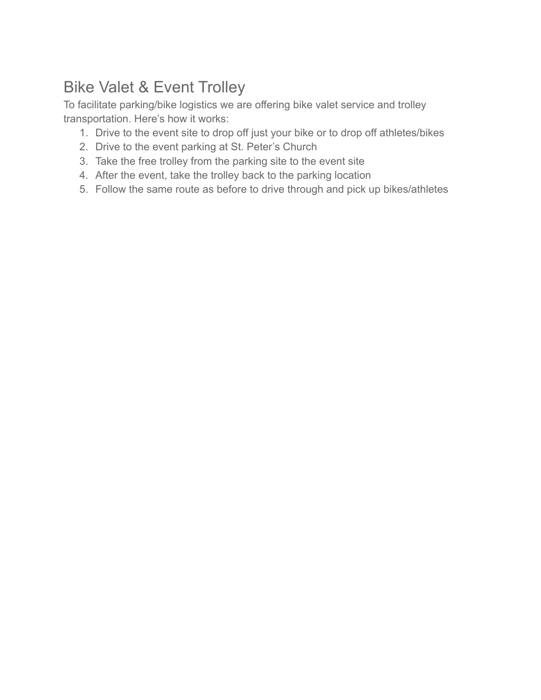## Bike Valet & Event Trolley

To facilitate parking/bike logistics we are offering bike valet service and trolley transportation. Here's how it works:

- 1. Drive to the event site to drop off just your bike or to drop off athletes/bikes
- 2. Drive to the event parking at St. Peter's Church
- 3. Take the free trolley from the parking site to the event site
- 4. After the event, take the trolley back to the parking location
- 5. Follow the same route as before to drive through and pick up bikes/athletes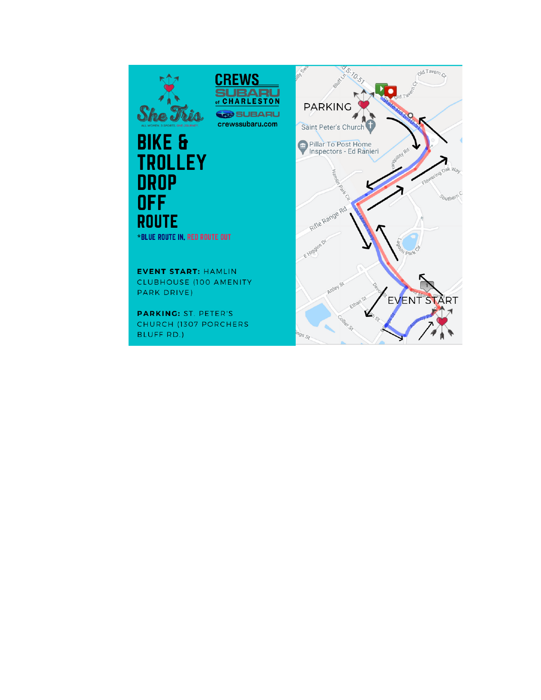# **She Tris**



## **BIKE & TROLLEY DROP**<br>OFF **ROUTE**

\*BLUE ROUTE IN, RED ROUTE OUT

**EVENT START: HAMLIN** CLUBHOUSE (100 AMENITY PARK DRIVE)

**PARKING: ST. PETER'S** CHURCH (1307 PORCHERS BLUFF RD.)

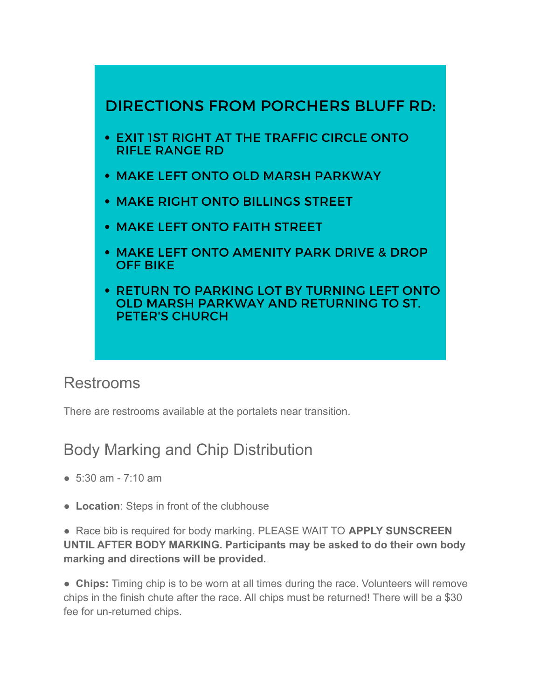

#### Restrooms

There are restrooms available at the portalets near transition.

#### Body Marking and Chip Distribution

- 5:30 am 7:10 am
- **Location**: Steps in front of the clubhouse

● Race bib is required for body marking. PLEASE WAIT TO **APPLY SUNSCREEN UNTIL AFTER BODY MARKING. Participants may be asked to do their own body marking and directions will be provided.**

● **Chips:** Timing chip is to be worn at all times during the race. Volunteers will remove chips in the finish chute after the race. All chips must be returned! There will be a \$30 fee for un-returned chips.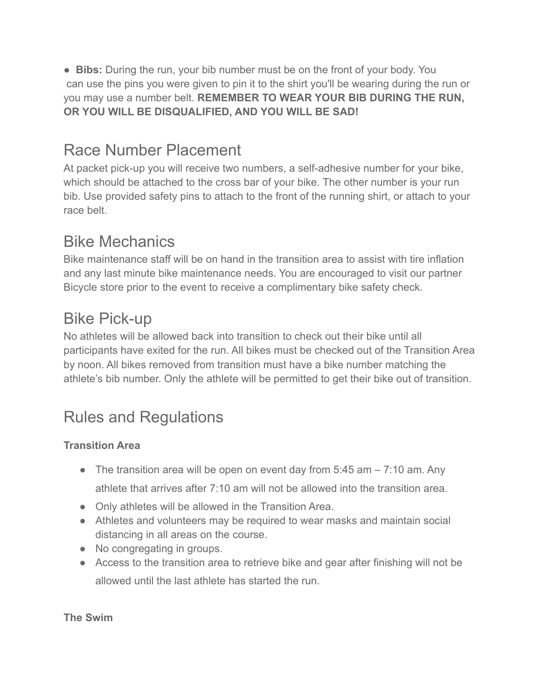● **Bibs:** During the run, your bib number must be on the front of your body. You can use the pins you were given to pin it to the shirt you'll be wearing during the run or you may use a number belt. **REMEMBER TO WEAR YOUR BIB DURING THE RUN, OR YOU WILL BE DISQUALIFIED, AND YOU WILL BE SAD!**

## Race Number Placement

At packet pick-up you will receive two numbers, a self-adhesive number for your bike, which should be attached to the cross bar of your bike. The other number is your run bib. Use provided safety pins to attach to the front of the running shirt, or attach to your race belt.

## Bike Mechanics

Bike maintenance staff will be on hand in the transition area to assist with tire inflation and any last minute bike maintenance needs. You are encouraged to visit our partner Bicycle store prior to the event to receive a complimentary bike safety check.

## Bike Pick-up

No athletes will be allowed back into transition to check out their bike until all participants have exited for the run. All bikes must be checked out of the Transition Area by noon. All bikes removed from transition must have a bike number matching the athlete's bib number. Only the athlete will be permitted to get their bike out of transition.

## Rules and Regulations

#### **Transition Area**

- The transition area will be open on event day from  $5.45$  am  $-7.10$  am. Any athlete that arrives after 7:10 am will not be allowed into the transition area.
- Only athletes will be allowed in the Transition Area.
- Athletes and volunteers may be required to wear masks and maintain social distancing in all areas on the course.
- No congregating in groups.
- Access to the transition area to retrieve bike and gear after finishing will not be allowed until the last athlete has started the run.

**The Swim**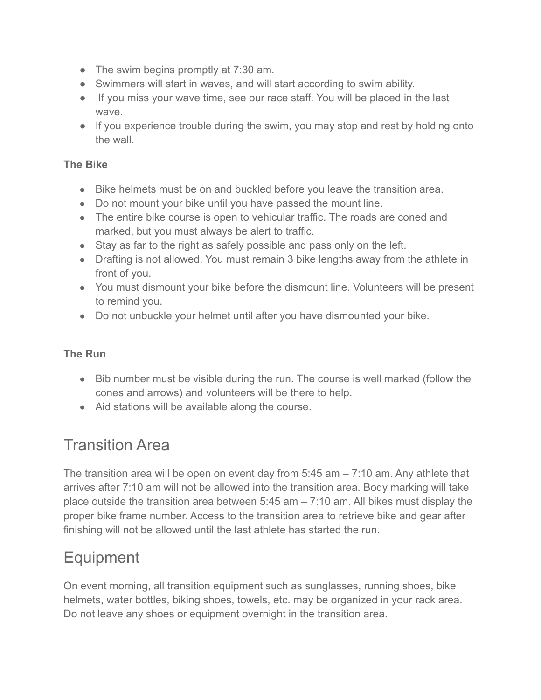- The swim begins promptly at 7:30 am.
- Swimmers will start in waves, and will start according to swim ability.
- If you miss your wave time, see our race staff. You will be placed in the last wave.
- If you experience trouble during the swim, you may stop and rest by holding onto the wall.

#### **The Bike**

- Bike helmets must be on and buckled before you leave the transition area.
- Do not mount your bike until you have passed the mount line.
- The entire bike course is open to vehicular traffic. The roads are coned and marked, but you must always be alert to traffic.
- Stay as far to the right as safely possible and pass only on the left.
- Drafting is not allowed. You must remain 3 bike lengths away from the athlete in front of you.
- You must dismount your bike before the dismount line. Volunteers will be present to remind you.
- Do not unbuckle your helmet until after you have dismounted your bike.

#### **The Run**

- Bib number must be visible during the run. The course is well marked (follow the cones and arrows) and volunteers will be there to help.
- Aid stations will be available along the course.

#### Transition Area

The transition area will be open on event day from 5:45 am – 7:10 am. Any athlete that arrives after 7:10 am will not be allowed into the transition area. Body marking will take place outside the transition area between 5:45 am – 7:10 am. All bikes must display the proper bike frame number. Access to the transition area to retrieve bike and gear after finishing will not be allowed until the last athlete has started the run.

#### **Equipment**

On event morning, all transition equipment such as sunglasses, running shoes, bike helmets, water bottles, biking shoes, towels, etc. may be organized in your rack area. Do not leave any shoes or equipment overnight in the transition area.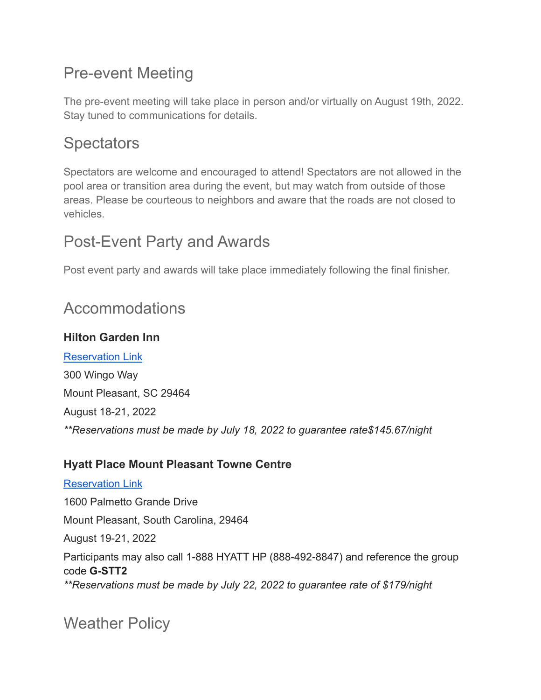## Pre-event Meeting

The pre-event meeting will take place in person and/or virtually on August 19th, 2022. Stay tuned to communications for details.

## **Spectators**

Spectators are welcome and encouraged to attend! Spectators are not allowed in the pool area or transition area during the event, but may watch from outside of those areas. Please be courteous to neighbors and aware that the roads are not closed to vehicles.

#### Post-Event Party and Awards

Post event party and awards will take place immediately following the final finisher.

#### Accommodations

#### **Hilton Garden Inn**

[Reservation Link](http://www.my-event.hilton.com/chsplgi-ham-27f9b309-b0dc-4cb3-bad8-feb3f4fb0d62/) 300 Wingo Way Mount Pleasant, SC 29464 August 18-21, 2022 *\*\*Reservations must be made by July 18, 2022 to guarantee rate\$145.67/night*

#### **Hyatt Place Mount Pleasant Towne Centre**

[Reservation Link](https://www.hyatt.com/shop/chszp?location=Hyatt%20Place%20Mount%20Pleasant%20Towne%20Centre&checkinDate=2022-08-19&checkoutDate=2022-08-21&rooms=1&adults=1&kids=0&corp_id=G-STT2) 1600 Palmetto Grande Drive Mount Pleasant, South Carolina, 29464 August 19-21, 2022 Participants may also call 1-888 HYATT HP (888-492-8847) and reference the group code **G-STT2** *\*\*Reservations must be made by July 22, 2022 to guarantee rate of \$179/night*

Weather Policy